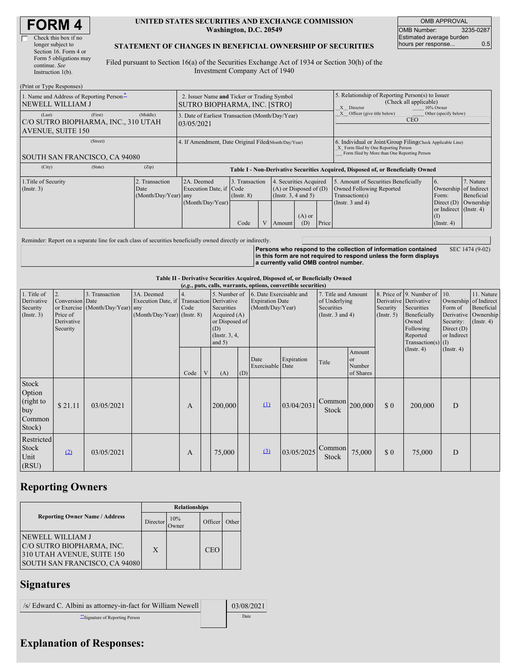| <b>FORM4</b> |  |
|--------------|--|
|--------------|--|

| Check this box if no   |
|------------------------|
| longer subject to      |
| Section 16. Form 4 or  |
| Form 5 obligations may |
| continue. See          |
| Instruction $l(b)$ .   |

#### **UNITED STATES SECURITIES AND EXCHANGE COMMISSION Washington, D.C. 20549**

OMB APPROVAL OMB Number: 3235-0287 Estimated average burden hours per response... 0.5

### **STATEMENT OF CHANGES IN BENEFICIAL OWNERSHIP OF SECURITIES**

Filed pursuant to Section 16(a) of the Securities Exchange Act of 1934 or Section 30(h) of the Investment Company Act of 1940

| (Print or Type Responses)                                                                                                                                          |                                                                                    |                                                                                                                                              |  |        |                                                                                                             |                                                                                                                                                    |                         |                                                   |           |  |
|--------------------------------------------------------------------------------------------------------------------------------------------------------------------|------------------------------------------------------------------------------------|----------------------------------------------------------------------------------------------------------------------------------------------|--|--------|-------------------------------------------------------------------------------------------------------------|----------------------------------------------------------------------------------------------------------------------------------------------------|-------------------------|---------------------------------------------------|-----------|--|
| 1. Name and Address of Reporting Person-<br>NEWELL WILLIAM J                                                                                                       | 2. Issuer Name and Ticker or Trading Symbol<br><b>SUTRO BIOPHARMA, INC. [STRO]</b> |                                                                                                                                              |  |        |                                                                                                             | 5. Relationship of Reporting Person(s) to Issuer<br>(Check all applicable)<br>X Director<br>10% Owner                                              |                         |                                                   |           |  |
| (Middle)<br>(First)<br>(Last)<br>3. Date of Earliest Transaction (Month/Day/Year)<br>C/O SUTRO BIOPHARMA, INC., 310 UTAH<br>03/05/2021<br><b>AVENUE, SUITE 150</b> |                                                                                    |                                                                                                                                              |  |        |                                                                                                             | Officer (give title below)<br>Other (specify below)<br><b>CEO</b>                                                                                  |                         |                                                   |           |  |
| (Street)<br>SOUTH SAN FRANCISCO, CA 94080                                                                                                                          | 4. If Amendment, Date Original Filed(Month/Day/Year)                               |                                                                                                                                              |  |        |                                                                                                             | 6. Individual or Joint/Group Filing(Check Applicable Line)<br>X Form filed by One Reporting Person<br>Form filed by More than One Reporting Person |                         |                                                   |           |  |
| (City)<br>(State)<br>(Zip)                                                                                                                                         |                                                                                    | Table I - Non-Derivative Securities Acquired, Disposed of, or Beneficially Owned                                                             |  |        |                                                                                                             |                                                                                                                                                    |                         |                                                   |           |  |
| 2. Transaction<br>1. Title of Security<br>$($ Instr. 3 $)$<br>Date                                                                                                 | 2A. Deemed<br>(Month/Day/Year) any<br>(Month/Day/Year)                             | 3. Transaction<br>4. Securities Acquired<br>Execution Date, if Code<br>$(A)$ or Disposed of $(D)$<br>(Insert. 3, 4 and 5)<br>$($ Instr. $8)$ |  |        | 5. Amount of Securities Beneficially<br>Owned Following Reported<br>Transaction(s)<br>(Instr. $3$ and $4$ ) | 6.<br>Ownership of Indirect<br>Form:<br>Direct $(D)$                                                                                               | 7. Nature<br>Beneficial |                                                   |           |  |
|                                                                                                                                                                    |                                                                                    | Code                                                                                                                                         |  | Amount | $(A)$ or<br>(D)                                                                                             | Price                                                                                                                                              |                         | or Indirect (Instr. 4)<br>(1)<br>$($ Instr. 4 $)$ | Ownership |  |

Reminder: Report on a separate line for each class of securities beneficially owned directly or indirectly.

**Persons who respond to the collection of information contained in this form are not required to respond unless the form displays a currently valid OMB control number.** SEC 1474 (9-02)

#### **Table II - Derivative Securities Acquired, Disposed of, or Beneficially Owned**

| (e.g., puts, calls, warrants, options, convertible securities) |                                                             |                                                    |                                                                                        |      |   |                                                                                                    |     |                                                                       |            |                                                                             |                                            |                         |                                                                                                                                           |                                                                                     |                                                                      |
|----------------------------------------------------------------|-------------------------------------------------------------|----------------------------------------------------|----------------------------------------------------------------------------------------|------|---|----------------------------------------------------------------------------------------------------|-----|-----------------------------------------------------------------------|------------|-----------------------------------------------------------------------------|--------------------------------------------|-------------------------|-------------------------------------------------------------------------------------------------------------------------------------------|-------------------------------------------------------------------------------------|----------------------------------------------------------------------|
| 1. Title of<br>Derivative<br>Security<br>$($ Instr. 3 $)$      | 2.<br>Conversion Date<br>Price of<br>Derivative<br>Security | 3. Transaction<br>or Exercise (Month/Day/Year) any | 3A. Deemed<br>Execution Date, if Transaction Derivative<br>(Month/Day/Year) (Instr. 8) | Code |   | 5. Number of<br>Securities<br>Acquired $(A)$<br>or Disposed of<br>(D)<br>(Instr. 3, 4,<br>and $5)$ |     | 6. Date Exercisable and<br><b>Expiration Date</b><br>(Month/Day/Year) |            | 7. Title and Amount<br>of Underlying<br>Securities<br>(Instr. $3$ and $4$ ) |                                            | Security<br>(Insert. 5) | 8. Price of 9. Number of<br>Derivative Derivative<br>Securities<br>Beneficially<br>Owned<br>Following<br>Reported<br>Transaction(s) $(I)$ | 10.<br>Ownership of Indirect<br>Form of<br>Security:<br>Direct $(D)$<br>or Indirect | 11. Nature<br>Beneficial<br>Derivative Ownership<br>$($ Instr. 4 $)$ |
|                                                                |                                                             |                                                    |                                                                                        | Code | V | (A)                                                                                                | (D) | Date<br>Exercisable Date                                              | Expiration | Title                                                                       | Amount<br><b>or</b><br>Number<br>of Shares |                         | $($ Instr. 4 $)$                                                                                                                          | $($ Instr. 4 $)$                                                                    |                                                                      |
| Stock<br>Option<br>(right to<br>buy<br>Common<br>Stock)        | \$21.11                                                     | 03/05/2021                                         |                                                                                        | A    |   | 200,000                                                                                            |     | $\Omega$                                                              | 03/04/2031 | $\lfloor$ Common $\rfloor$ <sub>200,000</sub><br>Stock                      |                                            | \$0                     | 200,000                                                                                                                                   | D                                                                                   |                                                                      |
| Restricted<br>Stock<br>Unit<br>(RSU)                           | (2)                                                         | 03/05/2021                                         |                                                                                        | A    |   | 75,000                                                                                             |     | (3)                                                                   | 03/05/2025 | Common<br>Stock                                                             | 75,000                                     | \$0                     | 75,000                                                                                                                                    | D                                                                                   |                                                                      |

## **Reporting Owners**

|                                                                                                              | <b>Relationships</b> |              |         |       |  |  |  |
|--------------------------------------------------------------------------------------------------------------|----------------------|--------------|---------|-------|--|--|--|
| <b>Reporting Owner Name / Address</b>                                                                        | Director             | 10%<br>)wner | Officer | Other |  |  |  |
| NEWELL WILLIAM J<br>C/O SUTRO BIOPHARMA, INC.<br>310 UTAH AVENUE, SUITE 150<br>SOUTH SAN FRANCISCO, CA 94080 | X                    |              | CEO     |       |  |  |  |

## **Signatures**

| /s/ Edward C. Albini as attorney-in-fact for William Newell | 03/08/2021 |  |  |
|-------------------------------------------------------------|------------|--|--|
| "Signature of Reporting Person                              | Date       |  |  |

# **Explanation of Responses:**